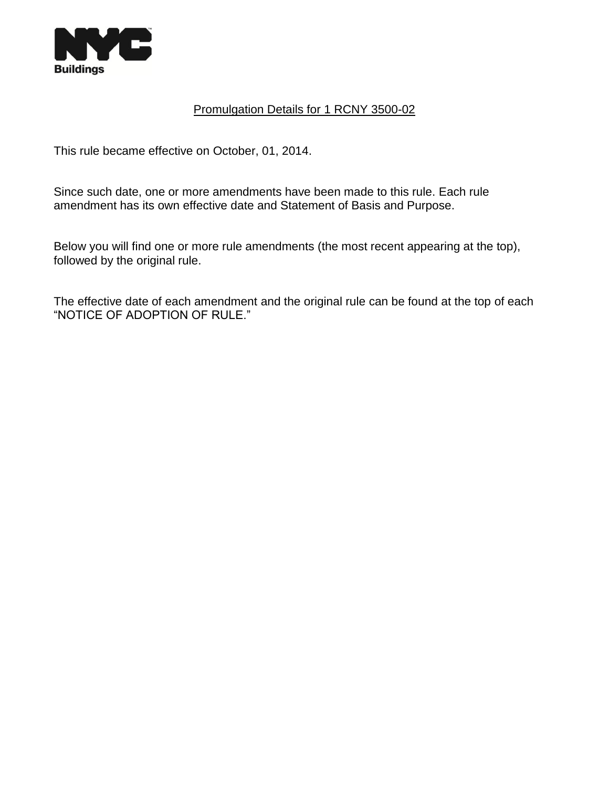

# Promulgation Details for 1 RCNY 3500-02

This rule became effective on October, 01, 2014.

Since such date, one or more amendments have been made to this rule. Each rule amendment has its own effective date and Statement of Basis and Purpose.

Below you will find one or more rule amendments (the most recent appearing at the top), followed by the original rule.

The effective date of each amendment and the original rule can be found at the top of each "NOTICE OF ADOPTION OF RULE."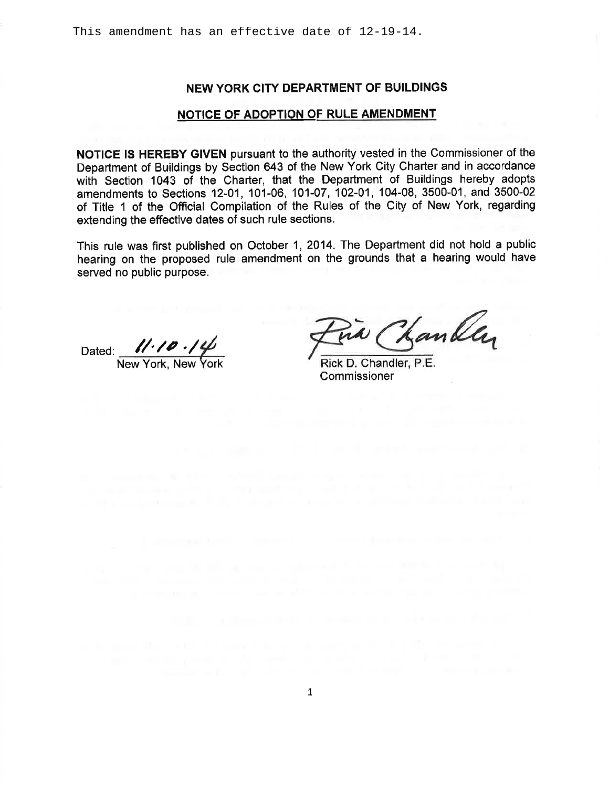### NEW YORK CITY DEPARTMENT OF BUILDINGS

#### NOTICE OF ADOPTION OF RULE AMENDMENT

NOTICE IS HEREBY GIVEN pursuant to the authority vested in the Commissioner of the Department of Buildings by Section 643 of the New York City Charter and in accordance with Section 1043 of the Charter, that the Department of Buildings hereby adopts amendments to Sections 12-01, 101-06, 101-07, 102-01, 104-08, 3500-01, and 3500-02 of Title 1 of the Official Compilation of the Rules of the City of New York, regarding extending the effective dates of such rule sections.

This rule was first published on October 1, 2014. The Department did not hold a public hearing on the proposed rule amendment on the grounds that a hearing would have served no public purpose.

Dated: 11.10.14

Kankly

Rick D. Chandler, P.E Commissioner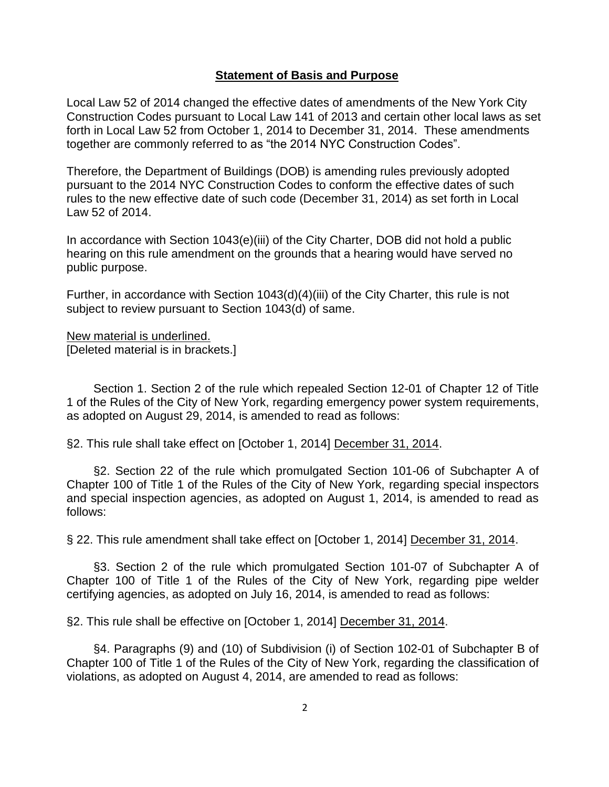#### **Statement of Basis and Purpose**

Local Law 52 of 2014 changed the effective dates of amendments of the New York City Construction Codes pursuant to Local Law 141 of 2013 and certain other local laws as set forth in Local Law 52 from October 1, 2014 to December 31, 2014. These amendments together are commonly referred to as "the 2014 NYC Construction Codes".

Therefore, the Department of Buildings (DOB) is amending rules previously adopted pursuant to the 2014 NYC Construction Codes to conform the effective dates of such rules to the new effective date of such code (December 31, 2014) as set forth in Local Law 52 of 2014.

In accordance with Section 1043(e)(iii) of the City Charter, DOB did not hold a public hearing on this rule amendment on the grounds that a hearing would have served no public purpose.

Further, in accordance with Section 1043(d)(4)(iii) of the City Charter, this rule is not subject to review pursuant to Section 1043(d) of same.

New material is underlined.

[Deleted material is in brackets.]

Section 1. Section 2 of the rule which repealed Section 12-01 of Chapter 12 of Title 1 of the Rules of the City of New York, regarding emergency power system requirements, as adopted on August 29, 2014, is amended to read as follows:

§2. This rule shall take effect on [October 1, 2014] December 31, 2014.

§2. Section 22 of the rule which promulgated Section 101-06 of Subchapter A of Chapter 100 of Title 1 of the Rules of the City of New York, regarding special inspectors and special inspection agencies, as adopted on August 1, 2014, is amended to read as follows:

§ 22. This rule amendment shall take effect on [October 1, 2014] December 31, 2014.

§3. Section 2 of the rule which promulgated Section 101-07 of Subchapter A of Chapter 100 of Title 1 of the Rules of the City of New York, regarding pipe welder certifying agencies, as adopted on July 16, 2014, is amended to read as follows:

§2. This rule shall be effective on [October 1, 2014] December 31, 2014.

§4. Paragraphs (9) and (10) of Subdivision (i) of Section 102-01 of Subchapter B of Chapter 100 of Title 1 of the Rules of the City of New York, regarding the classification of violations, as adopted on August 4, 2014, are amended to read as follows: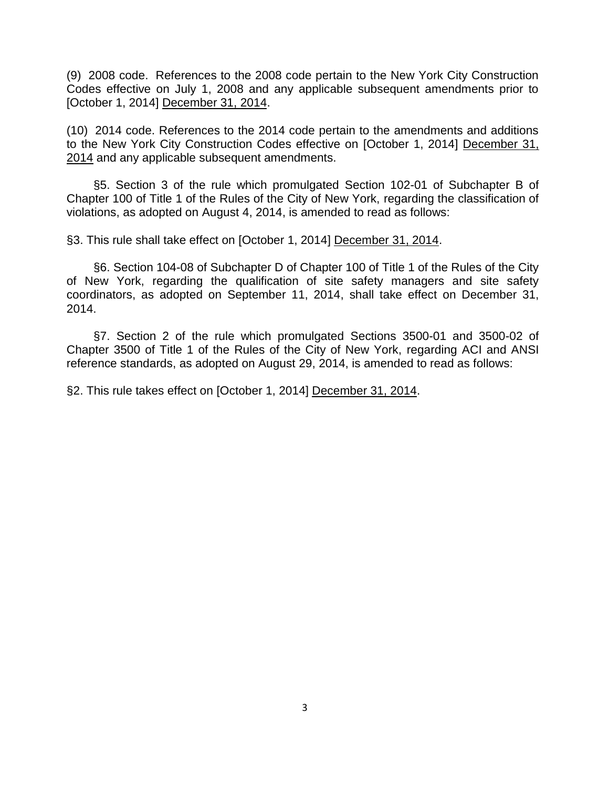(9) 2008 code. References to the 2008 code pertain to the New York City Construction Codes effective on July 1, 2008 and any applicable subsequent amendments prior to [October 1, 2014] December 31, 2014.

(10) 2014 code. References to the 2014 code pertain to the amendments and additions to the New York City Construction Codes effective on [October 1, 2014] December 31, 2014 and any applicable subsequent amendments.

§5. Section 3 of the rule which promulgated Section 102-01 of Subchapter B of Chapter 100 of Title 1 of the Rules of the City of New York, regarding the classification of violations, as adopted on August 4, 2014, is amended to read as follows:

§3. This rule shall take effect on [October 1, 2014] December 31, 2014.

§6. Section 104-08 of Subchapter D of Chapter 100 of Title 1 of the Rules of the City of New York, regarding the qualification of site safety managers and site safety coordinators, as adopted on September 11, 2014, shall take effect on December 31, 2014.

§7. Section 2 of the rule which promulgated Sections 3500-01 and 3500-02 of Chapter 3500 of Title 1 of the Rules of the City of New York, regarding ACI and ANSI reference standards, as adopted on August 29, 2014, is amended to read as follows:

§2. This rule takes effect on [October 1, 2014] December 31, 2014.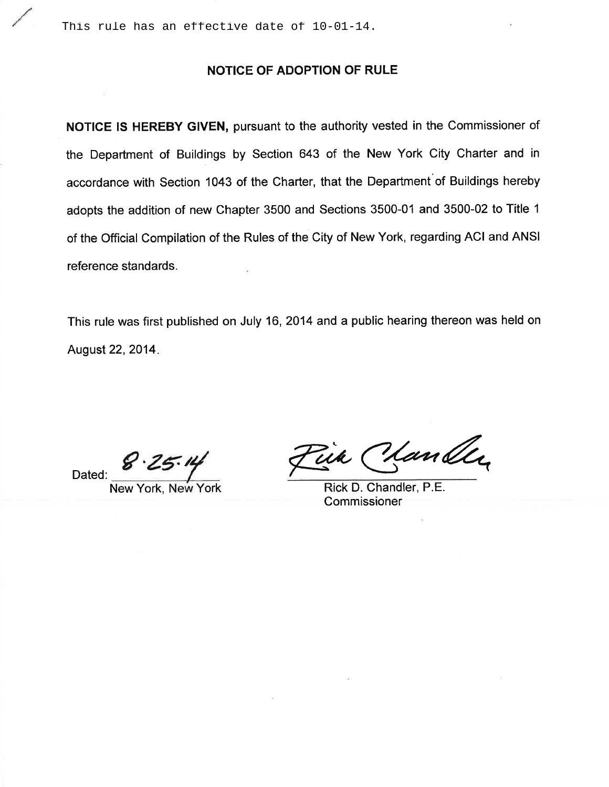This rule has an effective date of 10-01-14.

### NOTICE OF ADOPTION OF RULE

NOTICE IS HEREBY GIVEN, pursuant to the authority vested in the Commissioner of the Department of Buildings by Section 643 of the New York City Charter and in accordance with Section 1043 of the Charter, that the Department of Buildings hereby adopts the addition of new Chapter 3500 and Sections 3500-01 and 3500-02 to Title 1 of the Official Compilation of the Rules of the City of New York, regarding ACI and ANSI reference standards.

This rule was first published on July 16, 2014 and a public hearing thereon was held on August 22, 2014.

Dated:

New York

<u> Mandle</u>

Rick D. Chandler, P.E. Commissioner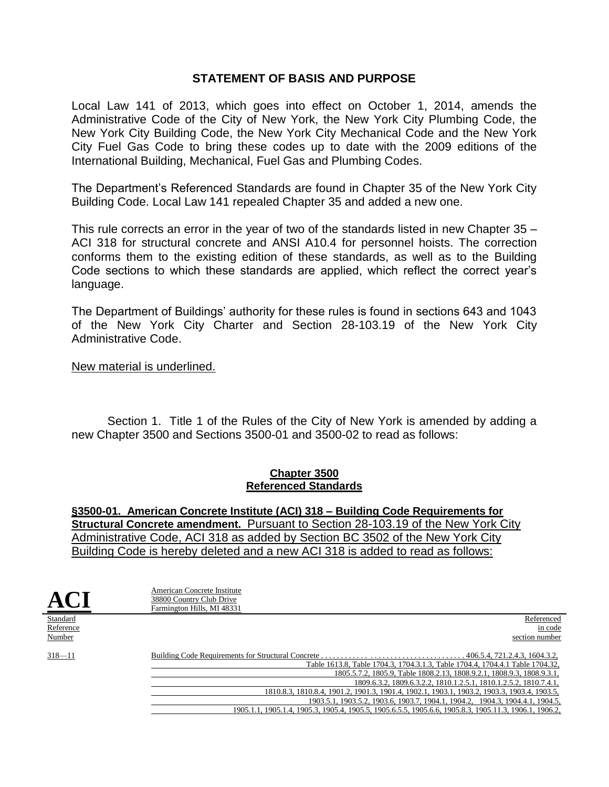## **STATEMENT OF BASIS AND PURPOSE**

Local Law 141 of 2013, which goes into effect on October 1, 2014, amends the Administrative Code of the City of New York, the New York City Plumbing Code, the New York City Building Code, the New York City Mechanical Code and the New York City Fuel Gas Code to bring these codes up to date with the 2009 editions of the International Building, Mechanical, Fuel Gas and Plumbing Codes.

The Department's Referenced Standards are found in Chapter 35 of the New York City Building Code. Local Law 141 repealed Chapter 35 and added a new one.

This rule corrects an error in the year of two of the standards listed in new Chapter 35 – ACI 318 for structural concrete and ANSI A10.4 for personnel hoists. The correction conforms them to the existing edition of these standards, as well as to the Building Code sections to which these standards are applied, which reflect the correct year's language.

The Department of Buildings' authority for these rules is found in sections 643 and 1043 of the New York City Charter and Section 28-103.19 of the New York City Administrative Code.

#### New material is underlined.

Section 1. Title 1 of the Rules of the City of New York is amended by adding a new Chapter 3500 and Sections 3500-01 and 3500-02 to read as follows:

#### **Chapter 3500 Referenced Standards**

**§3500-01. American Concrete Institute (ACI) 318 – Building Code Requirements for Structural Concrete amendment.** Pursuant to Section 28-103.19 of the New York City Administrative Code, ACI 318 as added by Section BC 3502 of the New York City Building Code is hereby deleted and a new ACI 318 is added to read as follows:

| $\mathbf{AC}$ | American Concrete Institute<br>38800 Country Club Drive<br>Farmington Hills, MI 48331                |
|---------------|------------------------------------------------------------------------------------------------------|
| Standard      | Referenced                                                                                           |
| Reference     | in code                                                                                              |
| Number        | section number                                                                                       |
| $318 - 11$    | Table 1613.8, Table 1704.3, 1704.3.1.3, Table 1704.4, 1704.4.1 Table 1704.32,                        |
|               | 1805.5.7.2, 1805.9, Table 1808.2.13, 1808.9.2.1, 1808.9.3, 1808.9.3.1,                               |
|               | 1809.6.3.2, 1809.6.3.2.2, 1810.1.2.5.1, 1810.1.2.5.2, 1810.7.4.1,                                    |
|               | 1810.8.3. 1810.8.4. 1901.2. 1901.3. 1901.4. 1902.1. 1903.1. 1903.2. 1903.3. 1903.4. 1903.5.          |
|               | 1903.5.1, 1903.5.2, 1903.6, 1903.7, 1904.1, 1904.2, 1904.3, 1904.4.1, 1904.5,                        |
|               | 1905.1.1, 1905.1.4, 1905.3, 1905.4, 1905.5, 1905.6.5, 1905.6.6, 1905.8.3, 1905.11.3, 1906.1, 1906.2, |